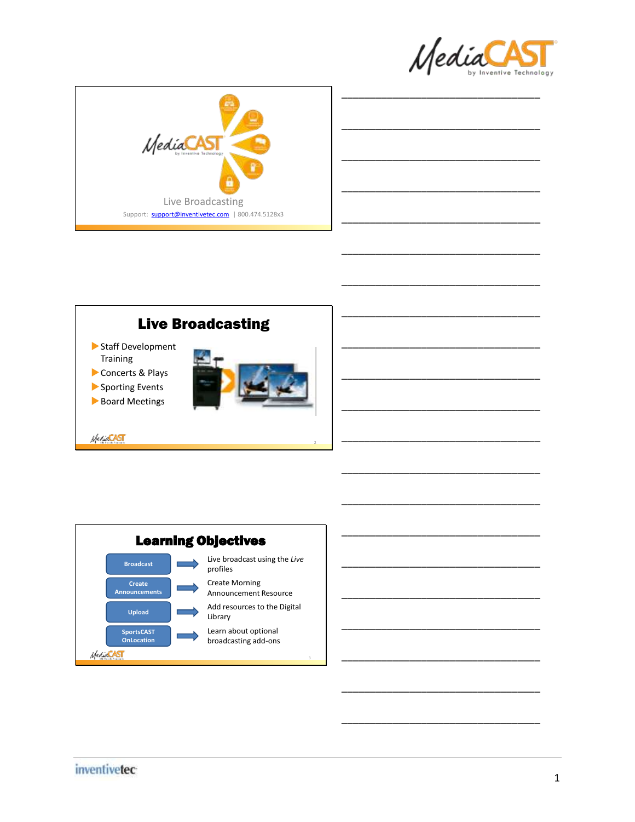





\_\_\_\_\_\_\_\_\_\_\_\_\_\_\_\_\_\_\_\_\_\_\_\_\_\_\_\_\_\_\_\_\_\_\_

\_\_\_\_\_\_\_\_\_\_\_\_\_\_\_\_\_\_\_\_\_\_\_\_\_\_\_\_\_\_\_\_\_\_\_

\_\_\_\_\_\_\_\_\_\_\_\_\_\_\_\_\_\_\_\_\_\_\_\_\_\_\_\_\_\_\_\_\_\_\_

\_\_\_\_\_\_\_\_\_\_\_\_\_\_\_\_\_\_\_\_\_\_\_\_\_\_\_\_\_\_\_\_\_\_\_

\_\_\_\_\_\_\_\_\_\_\_\_\_\_\_\_\_\_\_\_\_\_\_\_\_\_\_\_\_\_\_\_\_\_\_

\_\_\_\_\_\_\_\_\_\_\_\_\_\_\_\_\_\_\_\_\_\_\_\_\_\_\_\_\_\_\_\_\_\_\_

\_\_\_\_\_\_\_\_\_\_\_\_\_\_\_\_\_\_\_\_\_\_\_\_\_\_\_\_\_\_\_\_\_\_\_

\_\_\_\_\_\_\_\_\_\_\_\_\_\_\_\_\_\_\_\_\_\_\_\_\_\_\_\_\_\_\_\_\_\_\_

\_\_\_\_\_\_\_\_\_\_\_\_\_\_\_\_\_\_\_\_\_\_\_\_\_\_\_\_\_\_\_\_\_\_\_

\_\_\_\_\_\_\_\_\_\_\_\_\_\_\_\_\_\_\_\_\_\_\_\_\_\_\_\_\_\_\_\_\_\_\_

\_\_\_\_\_\_\_\_\_\_\_\_\_\_\_\_\_\_\_\_\_\_\_\_\_\_\_\_\_\_\_\_\_\_\_



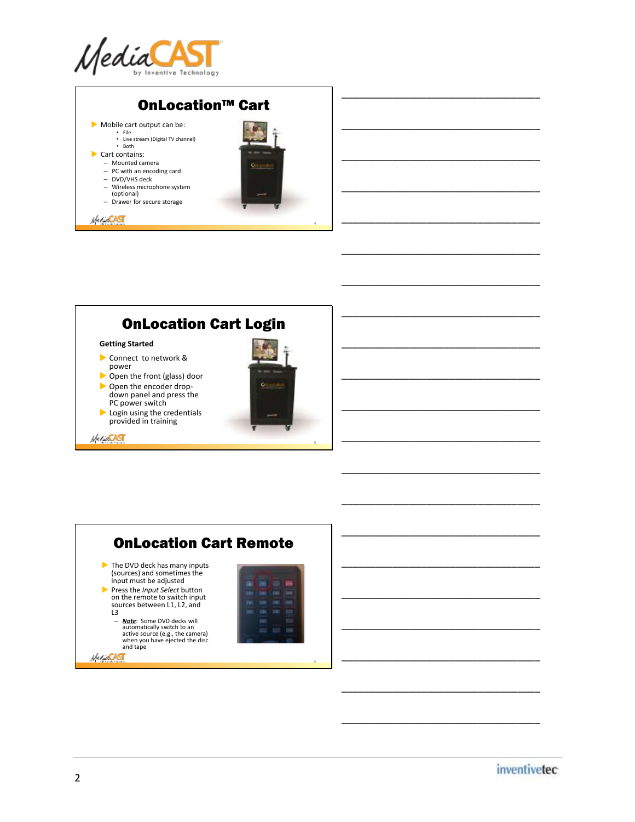



\_\_\_\_\_\_\_\_\_\_\_\_\_\_\_\_\_\_\_\_\_\_\_\_\_\_\_\_\_\_\_\_\_\_\_

\_\_\_\_\_\_\_\_\_\_\_\_\_\_\_\_\_\_\_\_\_\_\_\_\_\_\_\_\_\_\_\_\_\_\_

\_\_\_\_\_\_\_\_\_\_\_\_\_\_\_\_\_\_\_\_\_\_\_\_\_\_\_\_\_\_\_\_\_\_\_

\_\_\_\_\_\_\_\_\_\_\_\_\_\_\_\_\_\_\_\_\_\_\_\_\_\_\_\_\_\_\_\_\_\_\_

\_\_\_\_\_\_\_\_\_\_\_\_\_\_\_\_\_\_\_\_\_\_\_\_\_\_\_\_\_\_\_\_\_\_\_

\_\_\_\_\_\_\_\_\_\_\_\_\_\_\_\_\_\_\_\_\_\_\_\_\_\_\_\_\_\_\_\_\_\_\_

\_\_\_\_\_\_\_\_\_\_\_\_\_\_\_\_\_\_\_\_\_\_\_\_\_\_\_\_\_\_\_\_\_\_\_

\_\_\_\_\_\_\_\_\_\_\_\_\_\_\_\_\_\_\_\_\_\_\_\_\_\_\_\_\_\_\_\_\_\_\_

\_\_\_\_\_\_\_\_\_\_\_\_\_\_\_\_\_\_\_\_\_\_\_\_\_\_\_\_\_\_\_\_\_\_\_

\_\_\_\_\_\_\_\_\_\_\_\_\_\_\_\_\_\_\_\_\_\_\_\_\_\_\_\_\_\_\_\_\_\_\_

\_\_\_\_\_\_\_\_\_\_\_\_\_\_\_\_\_\_\_\_\_\_\_\_\_\_\_\_\_\_\_\_\_\_\_

\_\_\_\_\_\_\_\_\_\_\_\_\_\_\_\_\_\_\_\_\_\_\_\_\_\_\_\_\_\_\_\_\_\_\_

\_\_\_\_\_\_\_\_\_\_\_\_\_\_\_\_\_\_\_\_\_\_\_\_\_\_\_\_\_\_\_\_\_\_\_

\_\_\_\_\_\_\_\_\_\_\_\_\_\_\_\_\_\_\_\_\_\_\_\_\_\_\_\_\_\_\_\_\_\_\_



#### **Getting Started**

- Connect to network & power
- Open the front (glass) door
- ▶ Open the encoder dropdown panel and press the
- PC power switch
- Login using the credentials provided in training





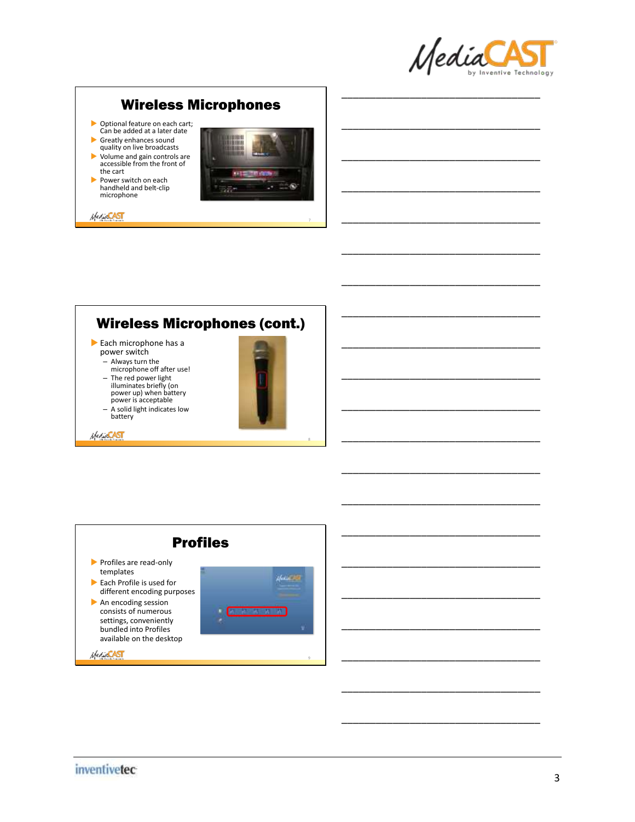

\_\_\_\_\_\_\_\_\_\_\_\_\_\_\_\_\_\_\_\_\_\_\_\_\_\_\_\_\_\_\_\_\_\_\_

\_\_\_\_\_\_\_\_\_\_\_\_\_\_\_\_\_\_\_\_\_\_\_\_\_\_\_\_\_\_\_\_\_\_\_

\_\_\_\_\_\_\_\_\_\_\_\_\_\_\_\_\_\_\_\_\_\_\_\_\_\_\_\_\_\_\_\_\_\_\_

\_\_\_\_\_\_\_\_\_\_\_\_\_\_\_\_\_\_\_\_\_\_\_\_\_\_\_\_\_\_\_\_\_\_\_

\_\_\_\_\_\_\_\_\_\_\_\_\_\_\_\_\_\_\_\_\_\_\_\_\_\_\_\_\_\_\_\_\_\_\_

\_\_\_\_\_\_\_\_\_\_\_\_\_\_\_\_\_\_\_\_\_\_\_\_\_\_\_\_\_\_\_\_\_\_\_

\_\_\_\_\_\_\_\_\_\_\_\_\_\_\_\_\_\_\_\_\_\_\_\_\_\_\_\_\_\_\_\_\_\_\_

\_\_\_\_\_\_\_\_\_\_\_\_\_\_\_\_\_\_\_\_\_\_\_\_\_\_\_\_\_\_\_\_\_\_\_

\_\_\_\_\_\_\_\_\_\_\_\_\_\_\_\_\_\_\_\_\_\_\_\_\_\_\_\_\_\_\_\_\_\_\_

\_\_\_\_\_\_\_\_\_\_\_\_\_\_\_\_\_\_\_\_\_\_\_\_\_\_\_\_\_\_\_\_\_\_\_

\_\_\_\_\_\_\_\_\_\_\_\_\_\_\_\_\_\_\_\_\_\_\_\_\_\_\_\_\_\_\_\_\_\_\_

\_\_\_\_\_\_\_\_\_\_\_\_\_\_\_\_\_\_\_\_\_\_\_\_\_\_\_\_\_\_\_\_\_\_\_

\_\_\_\_\_\_\_\_\_\_\_\_\_\_\_\_\_\_\_\_\_\_\_\_\_\_\_\_\_\_\_\_\_\_\_

\_\_\_\_\_\_\_\_\_\_\_\_\_\_\_\_\_\_\_\_\_\_\_\_\_\_\_\_\_\_\_\_\_\_\_

\_\_\_\_\_\_\_\_\_\_\_\_\_\_\_\_\_\_\_\_\_\_\_\_\_\_\_\_\_\_\_\_\_\_\_

# Wireless Microphones

- Optional feature on each cart; Can be added at a later date
- Greatly enhances sound quality on live broadcasts
- Volume and gain controls are accessible from the front of the cart
- Power switch on each handheld and belt-clip microphone

**MeriddST** 



## Wireless Microphones (cont.)

- Each microphone has a power switch
	- Always turn the microphone off after use!

**MediaCAST** 

- The red power light
- illuminates briefly (on power up) when battery power is acceptable
- A solid light indicates low battery



8

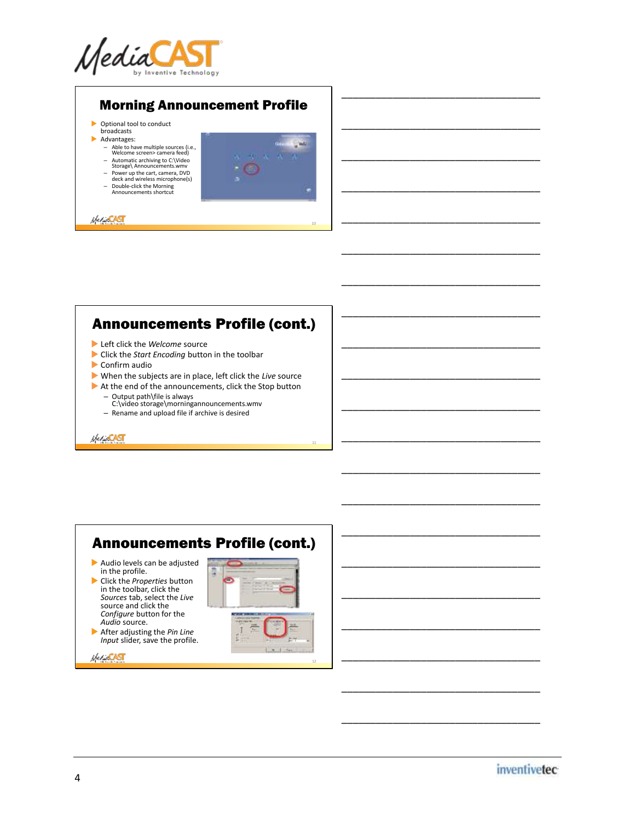

### Morning Announcement Profile

- Optional tool to conduct broadcasts
- Advantages:
	-
	- Able to have multiple sources (i.e., Welcome screen> camera feed) Automatic archiving to C:\Video Storage\ Announcements.wmv Power up the cart, camera, DVD
	-
	- deck and wireless microphone(s)
	- Double-click the Morning Announcements shortcut



10

11

\_\_\_\_\_\_\_\_\_\_\_\_\_\_\_\_\_\_\_\_\_\_\_\_\_\_\_\_\_\_\_\_\_\_\_

\_\_\_\_\_\_\_\_\_\_\_\_\_\_\_\_\_\_\_\_\_\_\_\_\_\_\_\_\_\_\_\_\_\_\_

\_\_\_\_\_\_\_\_\_\_\_\_\_\_\_\_\_\_\_\_\_\_\_\_\_\_\_\_\_\_\_\_\_\_\_

\_\_\_\_\_\_\_\_\_\_\_\_\_\_\_\_\_\_\_\_\_\_\_\_\_\_\_\_\_\_\_\_\_\_\_

\_\_\_\_\_\_\_\_\_\_\_\_\_\_\_\_\_\_\_\_\_\_\_\_\_\_\_\_\_\_\_\_\_\_\_

\_\_\_\_\_\_\_\_\_\_\_\_\_\_\_\_\_\_\_\_\_\_\_\_\_\_\_\_\_\_\_\_\_\_\_

\_\_\_\_\_\_\_\_\_\_\_\_\_\_\_\_\_\_\_\_\_\_\_\_\_\_\_\_\_\_\_\_\_\_\_

\_\_\_\_\_\_\_\_\_\_\_\_\_\_\_\_\_\_\_\_\_\_\_\_\_\_\_\_\_\_\_\_\_\_\_

\_\_\_\_\_\_\_\_\_\_\_\_\_\_\_\_\_\_\_\_\_\_\_\_\_\_\_\_\_\_\_\_\_\_\_

\_\_\_\_\_\_\_\_\_\_\_\_\_\_\_\_\_\_\_\_\_\_\_\_\_\_\_\_\_\_\_\_\_\_\_

\_\_\_\_\_\_\_\_\_\_\_\_\_\_\_\_\_\_\_\_\_\_\_\_\_\_\_\_\_\_\_\_\_\_\_

\_\_\_\_\_\_\_\_\_\_\_\_\_\_\_\_\_\_\_\_\_\_\_\_\_\_\_\_\_\_\_\_\_\_\_

\_\_\_\_\_\_\_\_\_\_\_\_\_\_\_\_\_\_\_\_\_\_\_\_\_\_\_\_\_\_\_\_\_\_\_

\_\_\_\_\_\_\_\_\_\_\_\_\_\_\_\_\_\_\_\_\_\_\_\_\_\_\_\_\_\_\_\_\_\_\_

\_\_\_\_\_\_\_\_\_\_\_\_\_\_\_\_\_\_\_\_\_\_\_\_\_\_\_\_\_\_\_\_\_\_\_

\_\_\_\_\_\_\_\_\_\_\_\_\_\_\_\_\_\_\_\_\_\_\_\_\_\_\_\_\_\_\_\_\_\_\_

\_\_\_\_\_\_\_\_\_\_\_\_\_\_\_\_\_\_\_\_\_\_\_\_\_\_\_\_\_\_\_\_\_\_\_

\_\_\_\_\_\_\_\_\_\_\_\_\_\_\_\_\_\_\_\_\_\_\_\_\_\_\_\_\_\_\_\_\_\_\_

\_\_\_\_\_\_\_\_\_\_\_\_\_\_\_\_\_\_\_\_\_\_\_\_\_\_\_\_\_\_\_\_\_\_\_

\_\_\_\_\_\_\_\_\_\_\_\_\_\_\_\_\_\_\_\_\_\_\_\_\_\_\_\_\_\_\_\_\_\_\_

**MediaCAST** 

### Announcements Profile (cont.)

- Left click the *Welcome* source
- Click the *Start Encoding* button in the toolbar
- Confirm audio
- When the subjects are in place, left click the *Live* source
- At the end of the announcements, click the Stop button
	- Output path\file is always C:\video storage\morningannouncements.wmv
	- Rename and upload file if archive is desired

**Meridi CAST** 

#### Announcements Profile (cont.) Audio levels can be adjusted in the profile. Ë Click the *Properties* button in the toolbar, click the *Sources* tab, select the *Live* source and click the *Configure* button for the *Audio* source. After adjusting the *Pin Line Input* slider, save the profile. Herio**CAST** 12



*inventivetec*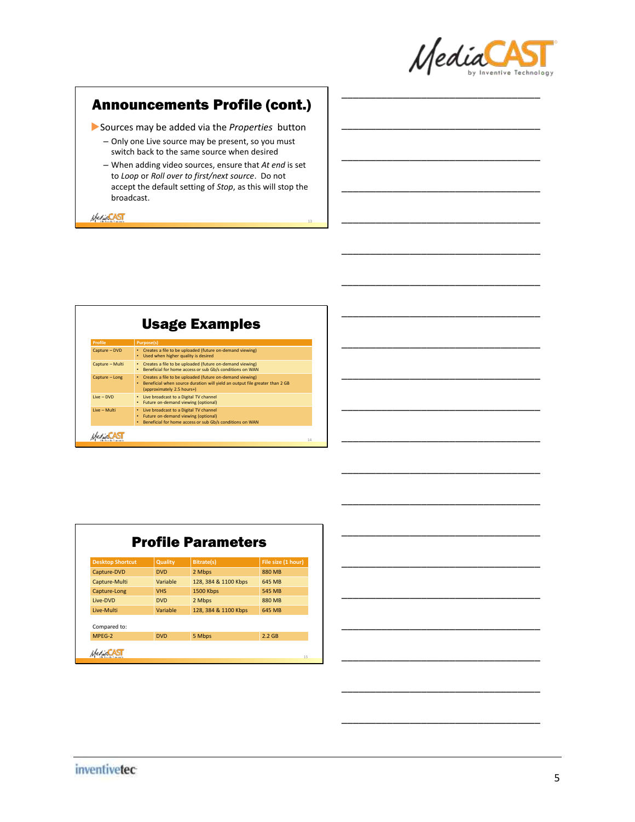

\_\_\_\_\_\_\_\_\_\_\_\_\_\_\_\_\_\_\_\_\_\_\_\_\_\_\_\_\_\_\_\_\_\_\_

\_\_\_\_\_\_\_\_\_\_\_\_\_\_\_\_\_\_\_\_\_\_\_\_\_\_\_\_\_\_\_\_\_\_\_

\_\_\_\_\_\_\_\_\_\_\_\_\_\_\_\_\_\_\_\_\_\_\_\_\_\_\_\_\_\_\_\_\_\_\_

\_\_\_\_\_\_\_\_\_\_\_\_\_\_\_\_\_\_\_\_\_\_\_\_\_\_\_\_\_\_\_\_\_\_\_

\_\_\_\_\_\_\_\_\_\_\_\_\_\_\_\_\_\_\_\_\_\_\_\_\_\_\_\_\_\_\_\_\_\_\_

\_\_\_\_\_\_\_\_\_\_\_\_\_\_\_\_\_\_\_\_\_\_\_\_\_\_\_\_\_\_\_\_\_\_\_

\_\_\_\_\_\_\_\_\_\_\_\_\_\_\_\_\_\_\_\_\_\_\_\_\_\_\_\_\_\_\_\_\_\_\_

\_\_\_\_\_\_\_\_\_\_\_\_\_\_\_\_\_\_\_\_\_\_\_\_\_\_\_\_\_\_\_\_\_\_\_

\_\_\_\_\_\_\_\_\_\_\_\_\_\_\_\_\_\_\_\_\_\_\_\_\_\_\_\_\_\_\_\_\_\_\_

\_\_\_\_\_\_\_\_\_\_\_\_\_\_\_\_\_\_\_\_\_\_\_\_\_\_\_\_\_\_\_\_\_\_\_

\_\_\_\_\_\_\_\_\_\_\_\_\_\_\_\_\_\_\_\_\_\_\_\_\_\_\_\_\_\_\_\_\_\_\_

\_\_\_\_\_\_\_\_\_\_\_\_\_\_\_\_\_\_\_\_\_\_\_\_\_\_\_\_\_\_\_\_\_\_\_

\_\_\_\_\_\_\_\_\_\_\_\_\_\_\_\_\_\_\_\_\_\_\_\_\_\_\_\_\_\_\_\_\_\_\_

\_\_\_\_\_\_\_\_\_\_\_\_\_\_\_\_\_\_\_\_\_\_\_\_\_\_\_\_\_\_\_\_\_\_\_

\_\_\_\_\_\_\_\_\_\_\_\_\_\_\_\_\_\_\_\_\_\_\_\_\_\_\_\_\_\_\_\_\_\_\_

\_\_\_\_\_\_\_\_\_\_\_\_\_\_\_\_\_\_\_\_\_\_\_\_\_\_\_\_\_\_\_\_\_\_\_

\_\_\_\_\_\_\_\_\_\_\_\_\_\_\_\_\_\_\_\_\_\_\_\_\_\_\_\_\_\_\_\_\_\_\_

\_\_\_\_\_\_\_\_\_\_\_\_\_\_\_\_\_\_\_\_\_\_\_\_\_\_\_\_\_\_\_\_\_\_\_

\_\_\_\_\_\_\_\_\_\_\_\_\_\_\_\_\_\_\_\_\_\_\_\_\_\_\_\_\_\_\_\_\_\_\_

\_\_\_\_\_\_\_\_\_\_\_\_\_\_\_\_\_\_\_\_\_\_\_\_\_\_\_\_\_\_\_\_\_\_\_

### Announcements Profile (cont.)

Sources may be added via the *Properties* button

- Only one Live source may be present, so you must switch back to the same source when desired
- When adding video sources, ensure that *At end* is set to *Loop* or *Roll over to first/next source*. Do not accept the default setting of *Stop*, as this will stop the broadcast.

13

**MediaCAST** 

| <b>Usage Examples</b> |                                                                                                                                                                                    |  |  |  |
|-----------------------|------------------------------------------------------------------------------------------------------------------------------------------------------------------------------------|--|--|--|
| <b>Profile</b>        | <b>Purpose(s)</b>                                                                                                                                                                  |  |  |  |
| Capture - DVD         | • Creates a file to be uploaded (future on-demand viewing)<br>Used when higher quality is desired                                                                                  |  |  |  |
| Capture - Multi       | Creates a file to be uploaded (future on-demand viewing)<br>$\bullet$<br>Beneficial for home access or sub Gb/s conditions on WAN<br>٠                                             |  |  |  |
| Capture - Long        | Creates a file to be uploaded (future on-demand viewing)<br>$\bullet$<br>Beneficial when source duration will yield an output file greater than 2 GB<br>(approximately 2.5 hours+) |  |  |  |
| Live - DVD            | Live broadcast to a Digital TV channel<br>$\bullet$<br>Future on-demand viewing (optional)<br>$\bullet$                                                                            |  |  |  |
| <b>Tive - Multi</b>   | Live broadcast to a Digital TV channel<br>$\bullet$<br>Future on-demand viewing (optional)<br>Beneficial for home access or sub Gb/s conditions on WAN                             |  |  |  |

| <b>Desktop Shortcut</b> | Quality    | <b>Bitrate(s)</b>    | File size (1 hour) |
|-------------------------|------------|----------------------|--------------------|
| Capture-DVD             | <b>DVD</b> | 2 Mbps               | 880 MB             |
| Capture-Multi           | Variable   | 128, 384 & 1100 Kbps | 645 MB             |
| Capture-Long            | <b>VHS</b> | 1500 Kbps            | 545 MB             |
| Live-DVD                | <b>DVD</b> | 2 Mbps               | 880 MB             |
| Live-Multi              | Variable   | 128, 384 & 1100 Kbps | 645 MB             |
| Compared to:            |            |                      |                    |
| MPFG-2                  | <b>DVD</b> | 5 Mbps               | $2.2$ GB           |

### *inventivetec*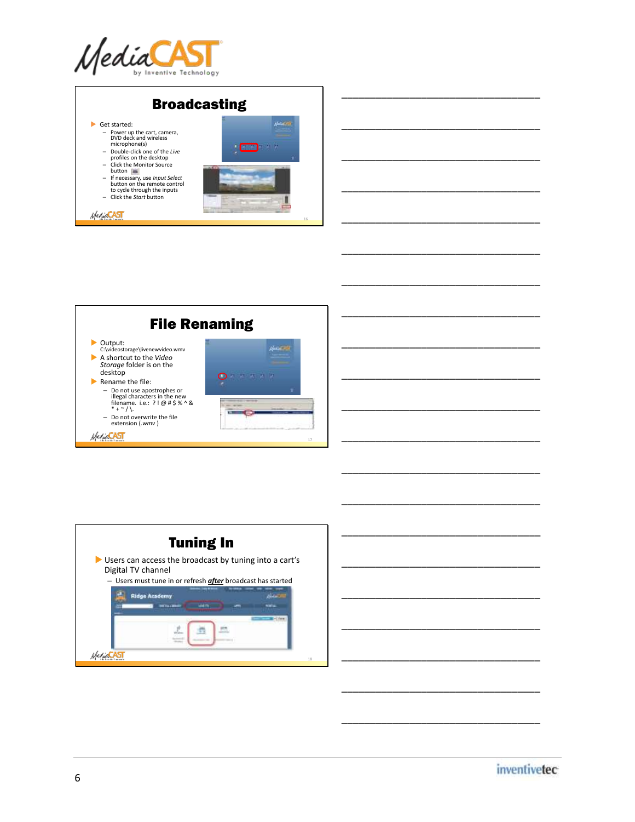







\_\_\_\_\_\_\_\_\_\_\_\_\_\_\_\_\_\_\_\_\_\_\_\_\_\_\_\_\_\_\_\_\_\_\_

\_\_\_\_\_\_\_\_\_\_\_\_\_\_\_\_\_\_\_\_\_\_\_\_\_\_\_\_\_\_\_\_\_\_\_

\_\_\_\_\_\_\_\_\_\_\_\_\_\_\_\_\_\_\_\_\_\_\_\_\_\_\_\_\_\_\_\_\_\_\_

\_\_\_\_\_\_\_\_\_\_\_\_\_\_\_\_\_\_\_\_\_\_\_\_\_\_\_\_\_\_\_\_\_\_\_

\_\_\_\_\_\_\_\_\_\_\_\_\_\_\_\_\_\_\_\_\_\_\_\_\_\_\_\_\_\_\_\_\_\_\_

\_\_\_\_\_\_\_\_\_\_\_\_\_\_\_\_\_\_\_\_\_\_\_\_\_\_\_\_\_\_\_\_\_\_\_

\_\_\_\_\_\_\_\_\_\_\_\_\_\_\_\_\_\_\_\_\_\_\_\_\_\_\_\_\_\_\_\_\_\_\_

\_\_\_\_\_\_\_\_\_\_\_\_\_\_\_\_\_\_\_\_\_\_\_\_\_\_\_\_\_\_\_\_\_\_\_

\_\_\_\_\_\_\_\_\_\_\_\_\_\_\_\_\_\_\_\_\_\_\_\_\_\_\_\_\_\_\_\_\_\_\_

\_\_\_\_\_\_\_\_\_\_\_\_\_\_\_\_\_\_\_\_\_\_\_\_\_\_\_\_\_\_\_\_\_\_\_

\_\_\_\_\_\_\_\_\_\_\_\_\_\_\_\_\_\_\_\_\_\_\_\_\_\_\_\_\_\_\_\_\_\_\_

\_\_\_\_\_\_\_\_\_\_\_\_\_\_\_\_\_\_\_\_\_\_\_\_\_\_\_\_\_\_\_\_\_\_\_

\_\_\_\_\_\_\_\_\_\_\_\_\_\_\_\_\_\_\_\_\_\_\_\_\_\_\_\_\_\_\_\_\_\_\_

\_\_\_\_\_\_\_\_\_\_\_\_\_\_\_\_\_\_\_\_\_\_\_\_\_\_\_\_\_\_\_\_\_\_\_

\_\_\_\_\_\_\_\_\_\_\_\_\_\_\_\_\_\_\_\_\_\_\_\_\_\_\_\_\_\_\_\_\_\_\_

\_\_\_\_\_\_\_\_\_\_\_\_\_\_\_\_\_\_\_\_\_\_\_\_\_\_\_\_\_\_\_\_\_\_\_

\_\_\_\_\_\_\_\_\_\_\_\_\_\_\_\_\_\_\_\_\_\_\_\_\_\_\_\_\_\_\_\_\_\_\_

\_\_\_\_\_\_\_\_\_\_\_\_\_\_\_\_\_\_\_\_\_\_\_\_\_\_\_\_\_\_\_\_\_\_\_

\_\_\_\_\_\_\_\_\_\_\_\_\_\_\_\_\_\_\_\_\_\_\_\_\_\_\_\_\_\_\_\_\_\_\_

\_\_\_\_\_\_\_\_\_\_\_\_\_\_\_\_\_\_\_\_\_\_\_\_\_\_\_\_\_\_\_\_\_\_\_